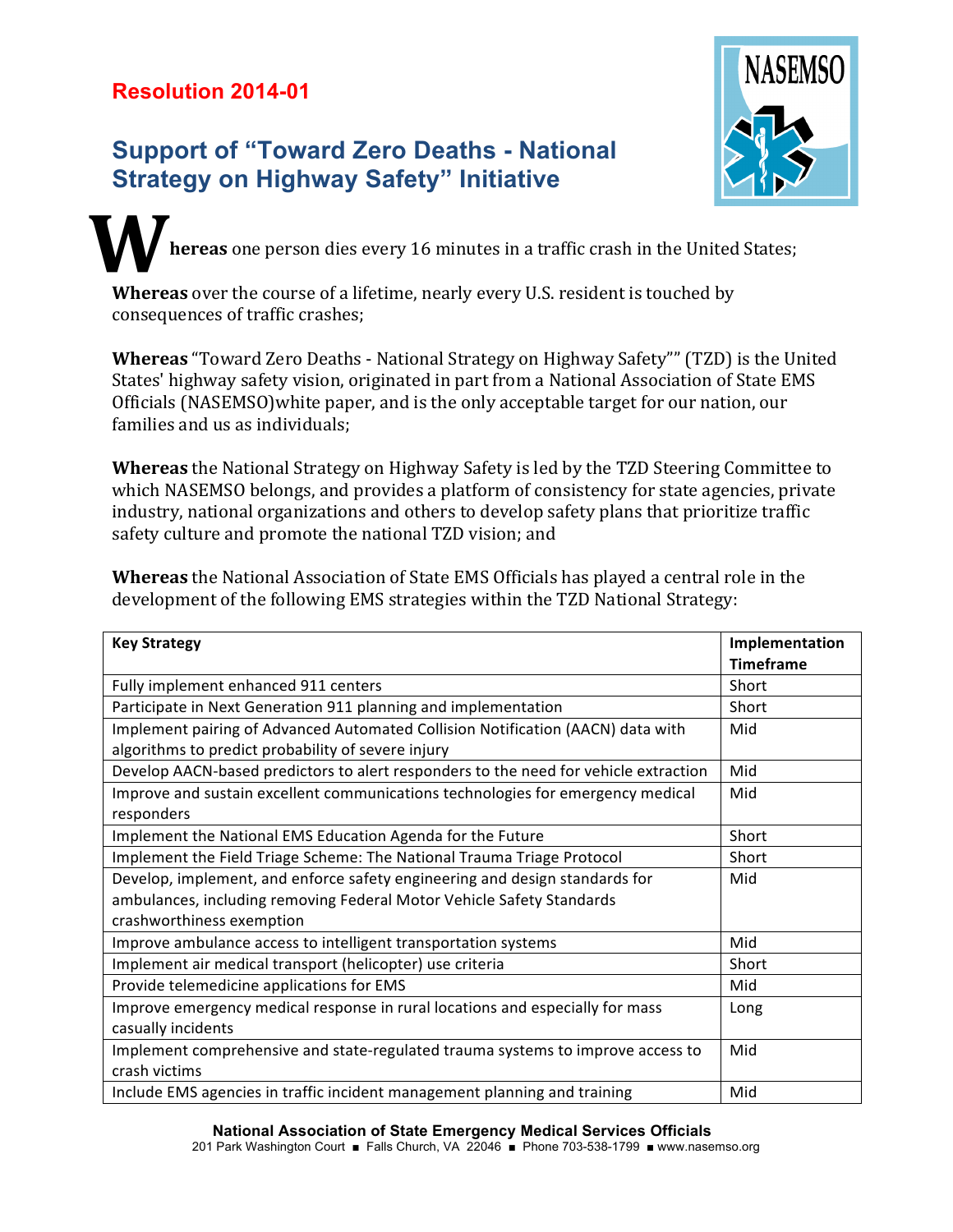## **Resolution 2014-01**

## **Support of "Toward Zero Deaths - National Strategy on Highway Safety" Initiative**



**hereas** one person dies every 16 minutes in a traffic crash in the United States; **W**

**Whereas** over the course of a lifetime, nearly every U.S. resident is touched by consequences of traffic crashes;

**Whereas** "Toward Zero Deaths - National Strategy on Highway Safety"" (TZD) is the United States' highway safety vision, originated in part from a National Association of State EMS Officials (NASEMSO)white paper, and is the only acceptable target for our nation, our families and us as individuals;

**Whereas** the National Strategy on Highway Safety is led by the TZD Steering Committee to which NASEMSO belongs, and provides a platform of consistency for state agencies, private industry, national organizations and others to develop safety plans that prioritize traffic safety culture and promote the national TZD vision; and

**Whereas** the National Association of State EMS Officials has played a central role in the development of the following EMS strategies within the TZD National Strategy:

| <b>Key Strategy</b>                                                                  | Implementation   |
|--------------------------------------------------------------------------------------|------------------|
|                                                                                      | <b>Timeframe</b> |
| Fully implement enhanced 911 centers                                                 | Short            |
| Participate in Next Generation 911 planning and implementation                       | Short            |
| Implement pairing of Advanced Automated Collision Notification (AACN) data with      | Mid              |
| algorithms to predict probability of severe injury                                   |                  |
| Develop AACN-based predictors to alert responders to the need for vehicle extraction | Mid              |
| Improve and sustain excellent communications technologies for emergency medical      | Mid              |
| responders                                                                           |                  |
| Implement the National EMS Education Agenda for the Future                           | Short            |
| Implement the Field Triage Scheme: The National Trauma Triage Protocol               | Short            |
| Develop, implement, and enforce safety engineering and design standards for          | Mid              |
| ambulances, including removing Federal Motor Vehicle Safety Standards                |                  |
| crashworthiness exemption                                                            |                  |
| Improve ambulance access to intelligent transportation systems                       | Mid              |
| Implement air medical transport (helicopter) use criteria                            | Short            |
| Provide telemedicine applications for EMS                                            | Mid              |
| Improve emergency medical response in rural locations and especially for mass        | Long             |
| casually incidents                                                                   |                  |
| Implement comprehensive and state-regulated trauma systems to improve access to      | Mid              |
| crash victims                                                                        |                  |
| Include EMS agencies in traffic incident management planning and training            | Mid              |